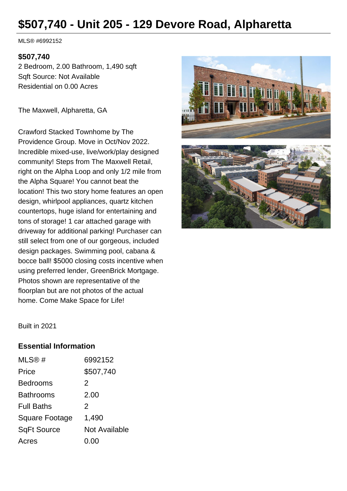# **\$507,740 - Unit 205 - 129 Devore Road, Alpharetta**

MLS® #6992152

#### **\$507,740**

2 Bedroom, 2.00 Bathroom, 1,490 sqft Sqft Source: Not Available Residential on 0.00 Acres

The Maxwell, Alpharetta, GA

Crawford Stacked Townhome by The Providence Group. Move in Oct/Nov 2022. Incredible mixed-use, live/work/play designed community! Steps from The Maxwell Retail, right on the Alpha Loop and only 1/2 mile from the Alpha Square! You cannot beat the location! This two story home features an open design, whirlpool appliances, quartz kitchen countertops, huge island for entertaining and tons of storage! 1 car attached garage with driveway for additional parking! Purchaser can still select from one of our gorgeous, included design packages. Swimming pool, cabana & bocce ball! \$5000 closing costs incentive when using preferred lender, GreenBrick Mortgage. Photos shown are representative of the floorplan but are not photos of the actual home. Come Make Space for Life!



Built in 2021

#### **Essential Information**

| MLS@#                 | 6992152       |
|-----------------------|---------------|
| Price                 | \$507,740     |
| <b>Bedrooms</b>       | 2             |
| <b>Bathrooms</b>      | 2.00          |
| <b>Full Baths</b>     | 2             |
| <b>Square Footage</b> | 1,490         |
| <b>SqFt Source</b>    | Not Available |
| Acres                 | 0.00          |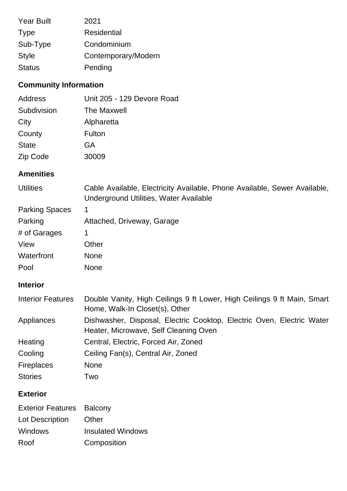| <b>Year Built</b> | 2021                |
|-------------------|---------------------|
| <b>Type</b>       | Residential         |
| Sub-Type          | Condominium         |
| <b>Style</b>      | Contemporary/Modern |
| <b>Status</b>     | Pending             |

# **Community Information**

| Unit 205 - 129 Devore Road |
|----------------------------|
| <b>The Maxwell</b>         |
| Alpharetta                 |
| Fulton                     |
| GA                         |
| 30009                      |
|                            |

## **Amenities**

| <b>Utilities</b> | Cable Available, Electricity Available, Phone Available, Sewer Available, |  |
|------------------|---------------------------------------------------------------------------|--|
|                  | Underground Utilities, Water Available                                    |  |

| <b>Parking Spaces</b> |                            |
|-----------------------|----------------------------|
| Parking               | Attached, Driveway, Garage |
| # of Garages          |                            |
| View                  | Other                      |
| Waterfront            | <b>None</b>                |
| Pool                  | None                       |

## **Interior**

| <b>Interior Features</b> | Double Vanity, High Ceilings 9 ft Lower, High Ceilings 9 ft Main, Smart<br>Home, Walk-In Closet(s), Other      |
|--------------------------|----------------------------------------------------------------------------------------------------------------|
| Appliances               | Dishwasher, Disposal, Electric Cooktop, Electric Oven, Electric Water<br>Heater, Microwave, Self Cleaning Oven |
| Heating                  | Central, Electric, Forced Air, Zoned                                                                           |
| Cooling                  | Ceiling Fan(s), Central Air, Zoned                                                                             |
| <b>Fireplaces</b>        | <b>None</b>                                                                                                    |
| <b>Stories</b>           | Two                                                                                                            |

# **Exterior**

| <b>Exterior Features Balcony</b> |                          |
|----------------------------------|--------------------------|
| Lot Description                  | Other                    |
| Windows                          | <b>Insulated Windows</b> |
| Roof                             | Composition              |